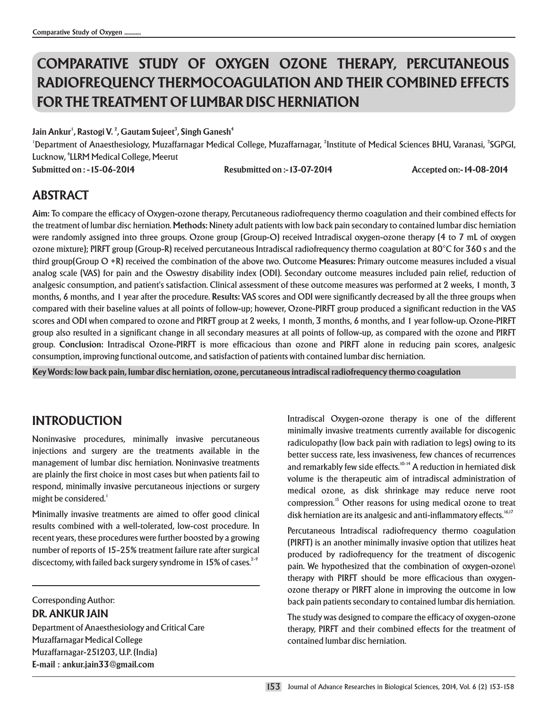# **COMPARATIVE STUDY OF OXYGEN OZONE THERAPY, PERCUTANEOUS RADIOFREQUENCY THERMOCOAGULATION AND THEIR COMBINED EFFECTS FOR THE TREATMENT OF LUMBAR DISC HERNIATION**

**1 2 3 4 Jain Ankur , Rastogi V. , Gautam Sujeet , Singh Ganesh**

'Department of Anaesthesiology, Muzaffarnagar Medical College, Muzaffarnagar, <sup>2</sup>Institute of Medical Sciences BHU, Varanasi, <sup>3</sup>SGPGI, Lucknow, <sup>4</sup>LLRM Medical College, Meerut

**Submitted on : -15-06-2014 Resubmitted on :-13-07-2014 Accepted on:-14-08-2014**

## **ABSTRACT**

**Aim:** To compare the efficacy of Oxygen-ozone therapy, Percutaneous radiofrequency thermo coagulation and their combined effects for the treatment of lumbar disc herniation. **Methods:** Ninety adult patients with low back pain secondary to contained lumbar disc herniation were randomly assigned into three groups. Ozone group (Group-O) received Intradiscal oxygen-ozone therapy (4 to 7 mL of oxygen ozone mixture); PIRFT group (Group-R) received percutaneous Intradiscal radiofrequency thermo coagulation at 80°C for 360 s and the third group(Group O +R) received the combination of the above two. Outcome **Measures:** Primary outcome measures included a visual analog scale (VAS) for pain and the Oswestry disability index (ODI). Secondary outcome measures included pain relief, reduction of analgesic consumption, and patient's satisfaction. Clinical assessment of these outcome measures was performed at 2 weeks, 1 month, 3 months, 6 months, and 1 year after the procedure. **Results:** VAS scores and ODI were significantly decreased by all the three groups when compared with their baseline values at all points of follow-up; however, Ozone-PIRFT group produced a significant reduction in the VAS scores and ODI when compared to ozone and PIRFT group at 2 weeks, 1 month, 3 months, 6 months, and 1 year follow-up. Ozone-PIRFT group also resulted in a significant change in all secondary measures at all points of follow-up, as compared with the ozone and PIRFT group. **Conclusion:** Intradiscal Ozone-PIRFT is more efficacious than ozone and PIRFT alone in reducing pain scores, analgesic consumption, improving functional outcome, and satisfaction of patients with contained lumbar disc herniation.

**Key Words: low back pain, lumbar disc herniation, ozone, percutaneous intradiscal radiofrequency thermo coagulation**

### **INTRODUCTION**

Noninvasive procedures, minimally invasive percutaneous injections and surgery are the treatments available in the management of lumbar disc herniation. Noninvasive treatments are plainly the first choice in most cases but when patients fail to respond, minimally invasive percutaneous injections or surgery might be considered.<sup>1</sup>

Minimally invasive treatments are aimed to offer good clinical results combined with a well-tolerated, low-cost procedure. In recent years, these procedures were further boosted by a growing number of reports of 15–25% treatment failure rate after surgical discectomy, with failed back surgery syndrome in 15% of cases.<sup>2-9</sup>

Corresponding Author:

**DR. ANKUR JAIN**

Department of Anaesthesiology and Critical Care Muzaffarnagar Medical College Muzaffarnagar-251203, U.P. (India) **E-mail : ankur.jain33@gmail.com**

Intradiscal Oxygen-ozone therapy is one of the different minimally invasive treatments currently available for discogenic radiculopathy (low back pain with radiation to legs) owing to its better success rate, less invasiveness, few chances of recurrences and remarkably few side effects.<sup>10-14</sup> A reduction in herniated disk volume is the therapeutic aim of intradiscal administration of medical ozone, as disk shrinkage may reduce nerve root compression.<sup>15</sup> Other reasons for using medical ozone to treat disk herniation are its analgesic and anti-inflammatory effects.<sup>16,17</sup>

Percutaneous Intradiscal radiofrequency thermo coagulation (PIRFT) is an another minimally invasive option that utilizes heat produced by radiofrequency for the treatment of discogenic pain. We hypothesized that the combination of oxygen-ozone\ therapy with PIRFT should be more efficacious than oxygenozone therapy or PIRFT alone in improving the outcome in low back pain patients secondary to contained lumbar dis herniation.

The study was designed to compare the efficacy of oxygen-ozone therapy, PIRFT and their combined effects for the treatment of contained lumbar disc herniation.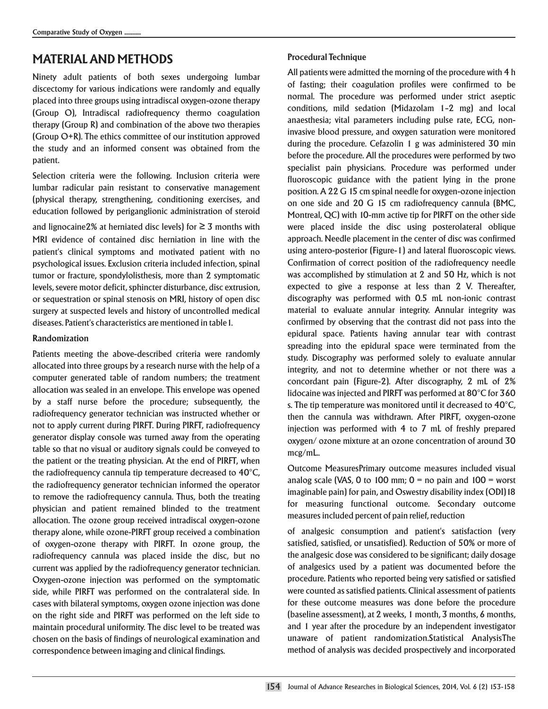## **MATERIAL AND METHODS**

Ninety adult patients of both sexes undergoing lumbar discectomy for various indications were randomly and equally placed into three groups using intradiscal oxygen-ozone therapy (Group O), Intradiscal radiofrequency thermo coagulation therapy (Group R) and combination of the above two therapies (Group O+R). The ethics committee of our institution approved the study and an informed consent was obtained from the patient.

Selection criteria were the following. Inclusion criteria were lumbar radicular pain resistant to conservative management (physical therapy, strengthening, conditioning exercises, and education followed by periganglionic administration of steroid

and lignocaine2% at herniated disc levels) for  $\geq$  3 months with MRI evidence of contained disc herniation in line with the patient's clinical symptoms and motivated patient with no psychological issues. Exclusion criteria included infection, spinal tumor or fracture, spondylolisthesis, more than 2 symptomatic levels, severe motor deficit, sphincter disturbance, disc extrusion, or sequestration or spinal stenosis on MRI, history of open disc surgery at suspected levels and history of uncontrolled medical diseases. Patient's characteristics are mentioned in table1.

### **Randomization**

Patients meeting the above-described criteria were randomly allocated into three groups by a research nurse with the help of a computer generated table of random numbers; the treatment allocation was sealed in an envelope. This envelope was opened by a staff nurse before the procedure; subsequently, the radiofrequency generator technician was instructed whether or not to apply current during PIRFT. During PIRFT, radiofrequency generator display console was turned away from the operating table so that no visual or auditory signals could be conveyed to the patient or the treating physician. At the end of PIRFT, when the radiofrequency cannula tip temperature decreased to  $40^{\circ}$ C, the radiofrequency generator technician informed the operator to remove the radiofrequency cannula. Thus, both the treating physician and patient remained blinded to the treatment allocation. The ozone group received intradiscal oxygen-ozone therapy alone, while ozone-PIRFT group received a combination of oxygen-ozone therapy with PIRFT. In ozone group, the radiofrequency cannula was placed inside the disc, but no current was applied by the radiofrequency generator technician. Oxygen-ozone injection was performed on the symptomatic side, while PIRFT was performed on the contralateral side. In cases with bilateral symptoms, oxygen ozone injection was done on the right side and PIRFT was performed on the left side to maintain procedural uniformity. The disc level to be treated was chosen on the basis of findings of neurological examination and correspondence between imaging and clinical findings.

### **Procedural Technique**

All patients were admitted the morning of the procedure with 4 h of fasting; their coagulation profiles were confirmed to be normal. The procedure was performed under strict aseptic conditions, mild sedation (Midazolam 1–2 mg) and local anaesthesia; vital parameters including pulse rate, ECG, noninvasive blood pressure, and oxygen saturation were monitored during the procedure. Cefazolin 1 g was administered 30 min before the procedure. All the procedures were performed by two specialist pain physicians. Procedure was performed under fluoroscopic guidance with the patient lying in the prone position. A 22 G 15 cm spinal needle for oxygen-ozone injection on one side and 20 G 15 cm radiofrequency cannula (BMC, Montreal, QC) with 10-mm active tip for PIRFT on the other side were placed inside the disc using posterolateral oblique approach. Needle placement in the center of disc was confirmed using antero-posterior (Figure-1) and lateral fluoroscopic views. Confirmation of correct position of the radiofrequency needle was accomplished by stimulation at 2 and 50 Hz, which is not expected to give a response at less than 2 V. Thereafter, discography was performed with 0.5 mL non-ionic contrast material to evaluate annular integrity. Annular integrity was confirmed by observing that the contrast did not pass into the epidural space. Patients having annular tear with contrast spreading into the epidural space were terminated from the study. Discography was performed solely to evaluate annular integrity, and not to determine whether or not there was a concordant pain (Figure-2). After discography, 2 mL of 2% lidocaine was injected and PIRFT was performed at 80°C for 360 s. The tip temperature was monitored until it decreased to 40°C, then the cannula was withdrawn. After PIRFT, oxygen-ozone injection was performed with 4 to 7 mL of freshly prepared oxygen/ ozone mixture at an ozone concentration of around 30 mcg/mL..

Outcome MeasuresPrimary outcome measures included visual analog scale (VAS, 0 to 100 mm;  $0 =$  no pain and 100  $=$  worst imaginable pain) for pain, and Oswestry disability index (ODI)18 for measuring functional outcome. Secondary outcome measures included percent of pain relief, reduction

of analgesic consumption and patient's satisfaction (very satisfied, satisfied, or unsatisfied). Reduction of 50% or more of the analgesic dose was considered to be significant; daily dosage of analgesics used by a patient was documented before the procedure. Patients who reported being very satisfied or satisfied were counted as satisfied patients. Clinical assessment of patients for these outcome measures was done before the procedure (baseline assessment), at 2 weeks, 1 month, 3 months, 6 months, and 1 year after the procedure by an independent investigator unaware of patient randomization.Statistical AnalysisThe method of analysis was decided prospectively and incorporated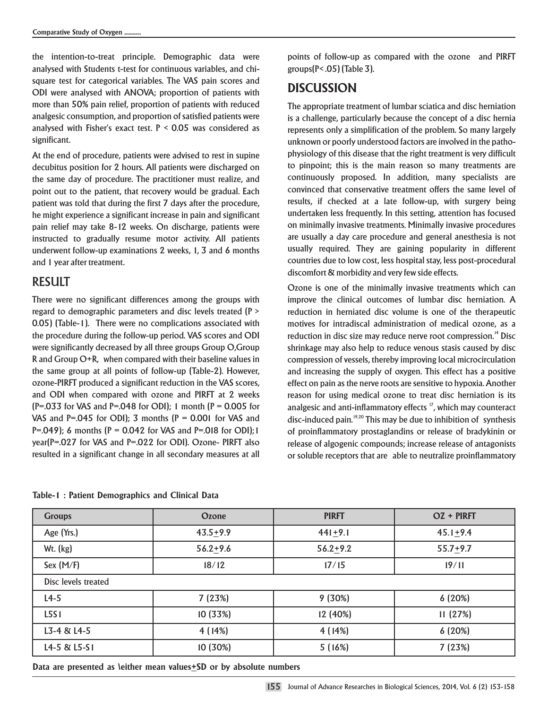the intention-to-treat principle. Demographic data were analysed with Students t-test for continuous variables, and chisquare test for categorical variables. The VAS pain scores and ODI were analysed with ANOVA; proportion of patients with more than 50% pain relief, proportion of patients with reduced analgesic consumption, and proportion of satisfied patients were analysed with Fisher's exact test.  $P < 0.05$  was considered as significant.

At the end of procedure, patients were advised to rest in supine decubitus position for 2 hours. All patients were discharged on the same day of procedure. The practitioner must realize, and point out to the patient, that recovery would be gradual. Each patient was told that during the first 7 days after the procedure, he might experience a significant increase in pain and significant pain relief may take 8-12 weeks. On discharge, patients were instructed to gradually resume motor activity. All patients underwent follow-up examinations 2 weeks, 1, 3 and 6 months and 1 year after treatment.

### RESULT

There were no significant differences among the groups with regard to demographic parameters and disc levels treated (P > 0.05) (Table-1). There were no complications associated with the procedure during the follow-up period. VAS scores and ODI were significantly decreased by all three groups Group O,Group R and Group O+R, when compared with their baseline values in the same group at all points of follow-up (Table-2). However, ozone-PIRFT produced a significant reduction in the VAS scores, and ODI when compared with ozone and PIRFT at 2 weeks  $(P=.033$  for VAS and P=.048 for ODI); 1 month  $(P = 0.005$  for VAS and P=.045 for ODI); 3 months ( $P = 0.001$  for VAS and P=.049); 6 months ( $P = 0.042$  for VAS and P=.018 for ODI); 1 year(P=.027 for VAS and P=.022 for ODI). Ozone- PIRFT also resulted in a significant change in all secondary measures at all points of follow-up as compared with the ozone and PIRFT groups(P< .05) (Table 3).

## **DISCUSSION**

The appropriate treatment of lumbar sciatica and disc herniation is a challenge, particularly because the concept of a disc hernia represents only a simplification of the problem. So many largely unknown or poorly understood factors are involved in the pathophysiology of this disease that the right treatment is very difficult to pinpoint; this is the main reason so many treatments are continuously proposed. In addition, many specialists are convinced that conservative treatment offers the same level of results, if checked at a late follow-up, with surgery being undertaken less frequently. In this setting, attention has focused on minimally invasive treatments. Minimally invasive procedures are usually a day care procedure and general anesthesia is not usually required. They are gaining popularity in different countries due to low cost, less hospital stay, less post-procedural discomfort & morbidity and very few side effects.

Ozone is one of the minimally invasive treatments which can improve the clinical outcomes of lumbar disc herniation. A reduction in herniated disc volume is one of the therapeutic motives for intradiscal administration of medical ozone, as a reduction in disc size may reduce nerve root compression.<sup>14</sup> Disc shrinkage may also help to reduce venous stasis caused by disc compression of vessels, thereby improving local microcirculation and increasing the supply of oxygen. This effect has a positive effect on pain as the nerve roots are sensitive to hypoxia. Another reason for using medical ozone to treat disc herniation is its analgesic and anti-inflammatory effects <sup>17</sup>, which may counteract  $disc$ -induced pain.  $19,20$  This may be due to inhibition of synthesis of proinflammatory prostaglandins or release of bradykinin or release of algogenic compounds; increase release of antagonists or soluble receptors that are able to neutralize proinflammatory

|  |  |  | Table-1: Patient Demographics and Clinical Data |  |  |  |
|--|--|--|-------------------------------------------------|--|--|--|
|--|--|--|-------------------------------------------------|--|--|--|

| <b>Groups</b>       | Ozone        | <b>PIRFT</b> | OZ + PIRFT   |
|---------------------|--------------|--------------|--------------|
| Age (Yrs.)          | $43.5 + 9.9$ | $441 + 9.1$  | $45.1 + 9.4$ |
| Wt. (kg)            | $56.2 + 9.6$ | $56.2 + 9.2$ | $55.7 + 9.7$ |
| Sex $(M/F)$         | 18/12        | 17/15        | 19/11        |
| Disc levels treated |              |              |              |
| $L4-5$              | 7(23%)       | 9(30%)       | 6(20%)       |
| L5S1                | 10 (33%)     | 12 (40%)     | 11(27%)      |
| L3-4 & L4-5         | 4(14%)       | 4(14%)       | 6(20%)       |
| L4-5 & L5-S1        | 10 (30%)     | 5(16%)       | 7(23%)       |

**Data are presented as \either mean values+SD or by absolute numbers**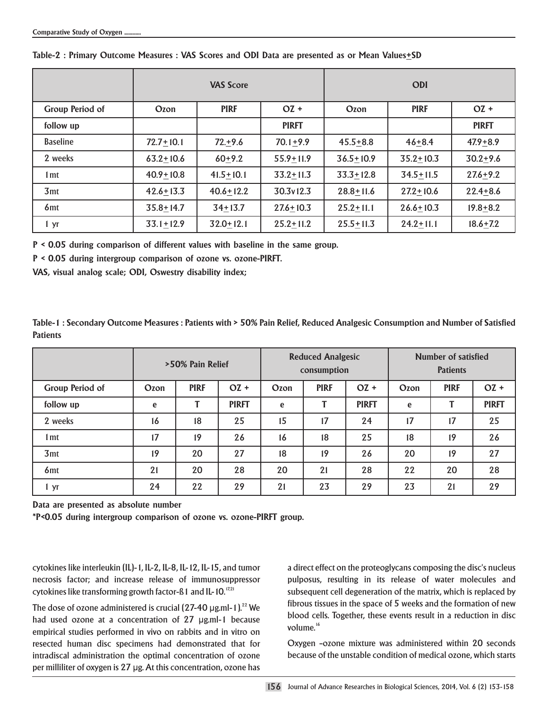|                 | <b>VAS Score</b> |               |               | <b>ODI</b>    |               |              |  |
|-----------------|------------------|---------------|---------------|---------------|---------------|--------------|--|
| Group Period of | Ozon             | <b>PIRF</b>   | $OZ +$        | Ozon          | <b>PIRF</b>   | $OZ +$       |  |
| follow up       |                  |               | <b>PIRFT</b>  |               |               | <b>PIRFT</b> |  |
| <b>Baseline</b> | $72.7 + 10.1$    | $72.+9.6$     | $70.1 + 9.9$  | $45.5 + 8.8$  | $46 + 8.4$    | $47.9 + 8.9$ |  |
| 2 weeks         | $63.2 + 10.6$    | $60 + 9.2$    | $55.9 + 11.9$ | $36.5 + 10.9$ | $35.2 + 10.3$ | $30.2 + 9.6$ |  |
| 1 <sub>mt</sub> | $40.9 + 10.8$    | $41.5 + 10.1$ | $33.2 + 11.3$ | $33.3 + 12.8$ | $34.5 + 11.5$ | $27.6 + 9.2$ |  |
| 3 <sub>mt</sub> | $42.6 + 13.3$    | $40.6 + 12.2$ | 30.3v12.3     | $28.8 + 11.6$ | $27.2 + 10.6$ | $22.4 + 8.6$ |  |
| 6 <sub>mt</sub> | $35.8 + 14.7$    | $34 + 13.7$   | $27.6 + 10.3$ | $25.2 + 11.1$ | $26.6 + 10.3$ | $19.8 + 8.2$ |  |
| 1 yr            | $33.1 + 12.9$    | $32.0 + 12.1$ | $25.2 + 11.2$ | $25.5 + 11.3$ | $24.2 + 11.1$ | $18.6 + 7.2$ |  |

#### **Table-2 : Primary Outcome Measures : VAS Scores and ODI Data are presented as or Mean Values+SD**

**P < 0.05 during comparison of different values with baseline in the same group.**

**P < 0.05 during intergroup comparison of ozone vs. ozone-PIRFT.**

**VAS, visual analog scale; ODI, Oswestry disability index;**

**Table-1 : Secondary Outcome Measures : Patients with > 50% Pain Relief, Reduced Analgesic Consumption and Number of Satisfied Patients**

|                 | >50% Pain Relief |             |              | <b>Reduced Analgesic</b><br>consumption |             |              | Number of satisfied<br><b>Patients</b> |             |              |
|-----------------|------------------|-------------|--------------|-----------------------------------------|-------------|--------------|----------------------------------------|-------------|--------------|
| Group Period of | Ozon             | <b>PIRF</b> | $OZ +$       | Ozon                                    | <b>PIRF</b> | $OZ +$       | Ozon                                   | <b>PIRF</b> | $OZ +$       |
| follow up       | e                | т           | <b>PIRFT</b> | e                                       | Τ           | <b>PIRFT</b> | e                                      |             | <b>PIRFT</b> |
| 2 weeks         | 16               | 18          | 25           | 15                                      | 17          | 24           | 17                                     | 17          | 25           |
| 1 <sub>mt</sub> | 17               | 19          | 26           | 16                                      | 18          | 25           | 18                                     | 19          | 26           |
| 3mt             | 19               | 20          | 27           | 18                                      | 19          | 26           | 20                                     | 19          | 27           |
| 6 <sub>mt</sub> | 21               | 20          | 28           | 20                                      | 21          | 28           | 22                                     | 20          | 28           |
| 1 yr            | 24               | 22          | 29           | 21                                      | 23          | 29           | 23                                     | 21          | 29           |

**Data are presented as absolute number**

**\*P<0.05 during intergroup comparison of ozone vs. ozone-PIRFT group.**

cytokines like interleukin (IL)-1, IL-2, IL-8, IL-12, IL-15, and tumor necrosis factor; and increase release of immunosuppressor cytokines like transforming growth factor-ß1 and IL-10.<sup>17,21</sup>

The dose of ozone administered is crucial  $(27-40 \,\mu g.m-1)^{22}$  We had used ozone at a concentration of 27 µg.ml-1 because empirical studies performed in vivo on rabbits and in vitro on resected human disc specimens had demonstrated that for intradiscal administration the optimal concentration of ozone per milliliter of oxygen is 27 µg. At this concentration, ozone has a direct effect on the proteoglycans composing the disc's nucleus pulposus, resulting in its release of water molecules and subsequent cell degeneration of the matrix, which is replaced by fibrous tissues in the space of 5 weeks and the formation of new blood cells. Together, these events result in a reduction in disc volume.<sup>16</sup>

Oxygen –ozone mixture was administered within 20 seconds because of the unstable condition of medical ozone, which starts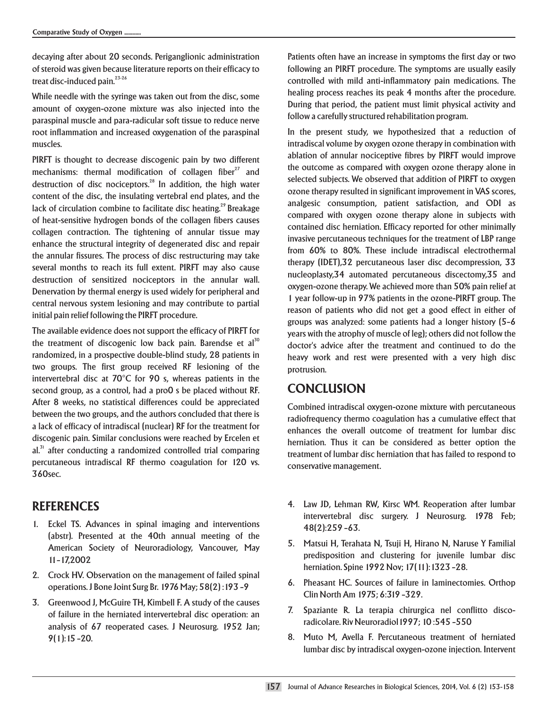decaying after about 20 seconds. Periganglionic administration of steroid was given because literature reports on their efficacy to treat disc-induced pain. $23-26$ 

While needle with the syringe was taken out from the disc, some amount of oxygen-ozone mixture was also injected into the paraspinal muscle and para-radicular soft tissue to reduce nerve root inflammation and increased oxygenation of the paraspinal muscles.

PIRFT is thought to decrease discogenic pain by two different mechanisms: thermal modification of collagen fiber $^{27}$  and destruction of disc nociceptors.<sup>28</sup> In addition, the high water content of the disc, the insulating vertebral end plates, and the lack of circulation combine to facilitate disc heating.<sup>29</sup> Breakage of heat-sensitive hydrogen bonds of the collagen fibers causes collagen contraction. The tightening of annular tissue may enhance the structural integrity of degenerated disc and repair the annular fissures. The process of disc restructuring may take several months to reach its full extent. PIRFT may also cause destruction of sensitized nociceptors in the annular wall. Denervation by thermal energy is used widely for peripheral and central nervous system lesioning and may contribute to partial initial pain relief following the PIRFT procedure.

The available evidence does not support the efficacy of PIRFT for the treatment of discogenic low back pain. Barendse et al<sup>30</sup> randomized, in a prospective double-blind study, 28 patients in two groups. The first group received RF lesioning of the intervertebral disc at 70°C for 90 s, whereas patients in the second group, as a control, had a pro0 s be placed without RF. After 8 weeks, no statistical differences could be appreciated between the two groups, and the authors concluded that there is a lack of efficacy of intradiscal (nuclear) RF for the treatment for discogenic pain. Similar conclusions were reached by Ercelen et  $al$ <sup>31</sup> after conducting a randomized controlled trial comparing percutaneous intradiscal RF thermo coagulation for 120 vs. 360sec.

## **REFERENCES**

- 1. Eckel TS. Advances in spinal imaging and interventions (abstr). Presented at the 40th annual meeting of the American Society of Neuroradiology, Vancouver, May 11–17,2002
- 2. Crock HV. Observation on the management of failed spinal operations. J Bone Joint Surg Br. 1976 May; 58(2) :193 –9
- 3. Greenwood J, McGuire TH, Kimbell F. A study of the causes of failure in the herniated intervertebral disc operation: an analysis of 67 reoperated cases. J Neurosurg. 1952 Jan; 9(1):15 –20.

Patients often have an increase in symptoms the first day or two following an PIRFT procedure. The symptoms are usually easily controlled with mild anti-inflammatory pain medications. The healing process reaches its peak 4 months after the procedure. During that period, the patient must limit physical activity and follow a carefully structured rehabilitation program.

In the present study, we hypothesized that a reduction of intradiscal volume by oxygen ozone therapy in combination with ablation of annular nociceptive fibres by PIRFT would improve the outcome as compared with oxygen ozone therapy alone in selected subjects. We observed that addition of PIRFT to oxygen ozone therapy resulted in significant improvement in VAS scores, analgesic consumption, patient satisfaction, and ODI as compared with oxygen ozone therapy alone in subjects with contained disc herniation. Efficacy reported for other minimally invasive percutaneous techniques for the treatment of LBP range from 60% to 80%. These include intradiscal electrothermal therapy (IDET),32 percutaneous laser disc decompression, 33 nucleoplasty,34 automated percutaneous discectomy,35 and oxygen-ozone therapy. We achieved more than 50% pain relief at 1 year follow-up in 97% patients in the ozone-PIRFT group. The reason of patients who did not get a good effect in either of groups was analyzed: some patients had a longer history (5–6 years with the atrophy of muscle of leg); others did not follow the doctor's advice after the treatment and continued to do the heavy work and rest were presented with a very high disc protrusion.

## **CONCLUSION**

Combined intradiscal oxygen-ozone mixture with percutaneous radiofrequency thermo coagulation has a cumulative effect that enhances the overall outcome of treatment for lumbar disc herniation. Thus it can be considered as better option the treatment of lumbar disc herniation that has failed to respond to conservative management.

- 4. Law JD, Lehman RW, Kirsc WM. Reoperation after lumbar intervertebral disc surgery. J Neurosurg. 1978 Feb; 48(2):259 –63.
- 5. Matsui H, Terahata N, Tsuji H, Hirano N, Naruse Y Familial predisposition and clustering for juvenile lumbar disc herniation. Spine 1992 Nov; 17(11):1323 –28.
- 6. Pheasant HC. Sources of failure in laminectomies. Orthop Clin North Am 1975; 6:319 –329.
- 7. Spaziante R. La terapia chirurgica nel conflitto discoradicolare. Riv Neuroradiol1997; 10 :545 –550
- 8. Muto M, Avella F. Percutaneous treatment of herniated lumbar disc by intradiscal oxygen-ozone injection. Intervent